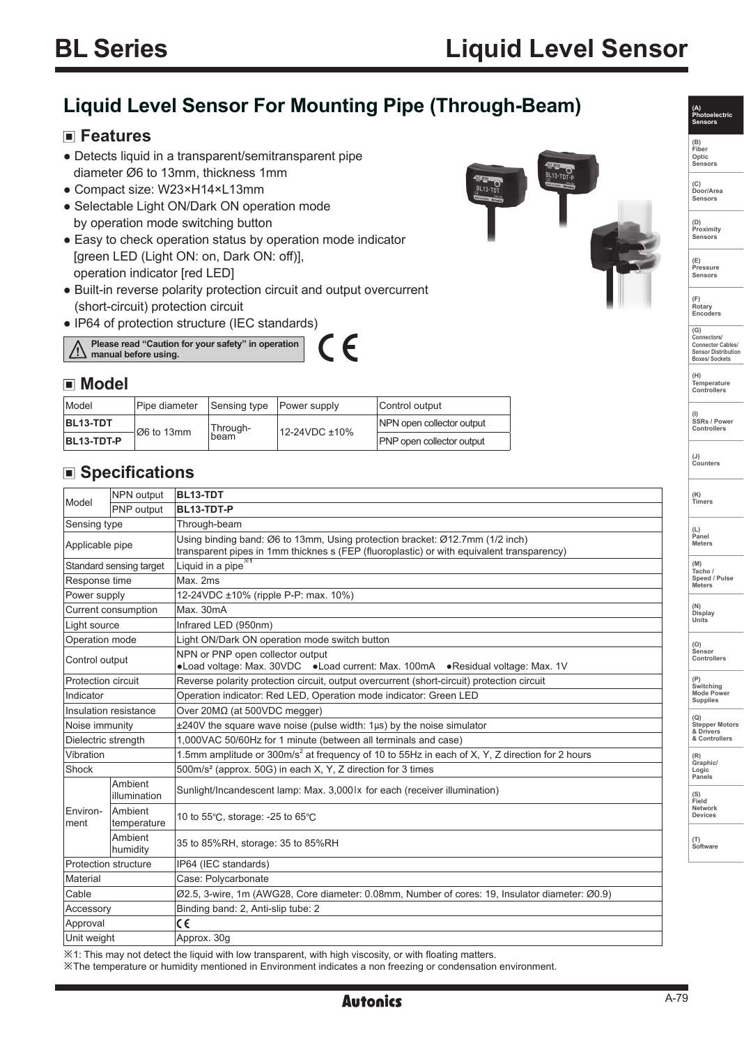# **Liquid Level Sensor For Mounting Pipe (Through-Beam)**

### **Features**

- Detects liquid in a transparent/semitransparent pipe diameter Ø6 to 13mm, thickness 1mm
- Compact size: W23×H14×L13mm
- Selectable Light ON/Dark ON operation mode by operation mode switching button
- Easy to check operation status by operation mode indicator [green LED (Light ON: on, Dark ON: off)], operation indicator [red LED]
- Built-in reverse polarity protection circuit and output overcurrent (short-circuit) protection circuit
- IP64 of protection structure (IEC standards)



### **Model**

| Model      | Pipe diameter | Sensing type     | Power supply  | Control output                   |
|------------|---------------|------------------|---------------|----------------------------------|
| BL13-TDT   | Ø6 to 13mm    | Through-<br>beam | 12-24VDC ±10% | NPN open collector output        |
| BL13-TDT-P |               |                  |               | <b>PNP</b> open collector output |

## ■ Specifications

| Model                                                           | <b>NPN</b> output       | <b>BL13-TDT</b>                                                                                                                                                           |  |  |
|-----------------------------------------------------------------|-------------------------|---------------------------------------------------------------------------------------------------------------------------------------------------------------------------|--|--|
|                                                                 | PNP output              | BL13-TDT-P                                                                                                                                                                |  |  |
| Sensing type                                                    |                         | Through-beam                                                                                                                                                              |  |  |
| Applicable pipe                                                 |                         | Using binding band: Ø6 to 13mm, Using protection bracket: Ø12.7mm (1/2 inch)<br>transparent pipes in 1mm thicknes s (FEP (fluoroplastic) or with equivalent transparency) |  |  |
| Standard sensing target                                         |                         | Liquid in a pipe <sup>*1</sup>                                                                                                                                            |  |  |
| Response time                                                   |                         | Max. 2ms                                                                                                                                                                  |  |  |
| Power supply                                                    |                         | 12-24VDC ±10% (ripple P-P: max. 10%)                                                                                                                                      |  |  |
| Current consumption                                             |                         | Max. 30mA                                                                                                                                                                 |  |  |
| Light source                                                    |                         | Infrared LED (950nm)                                                                                                                                                      |  |  |
| Operation mode<br>Light ON/Dark ON operation mode switch button |                         |                                                                                                                                                                           |  |  |
| Control output                                                  |                         | NPN or PNP open collector output<br>•Load voltage: Max. 30VDC •Load current: Max. 100mA •Residual voltage: Max. 1V                                                        |  |  |
| <b>Protection circuit</b>                                       |                         | Reverse polarity protection circuit, output overcurrent (short-circuit) protection circuit                                                                                |  |  |
| Indicator                                                       |                         | Operation indicator: Red LED, Operation mode indicator: Green LED                                                                                                         |  |  |
| Insulation resistance                                           |                         | Over 20ΜΩ (at 500VDC megger)                                                                                                                                              |  |  |
| Noise immunity                                                  |                         | $\pm 240V$ the square wave noise (pulse width: $1\mu s$ ) by the noise simulator                                                                                          |  |  |
| Dielectric strength                                             |                         | 1,000VAC 50/60Hz for 1 minute (between all terminals and case)                                                                                                            |  |  |
| Vibration                                                       |                         | 1.5mm amplitude or 300m/s <sup>2</sup> at frequency of 10 to 55Hz in each of X, Y, Z direction for 2 hours                                                                |  |  |
| Shock                                                           |                         | 500m/s <sup>2</sup> (approx. 50G) in each X, Y, Z direction for 3 times                                                                                                   |  |  |
|                                                                 | Ambient<br>illumination | Sunlight/Incandescent lamp: Max. 3,0001x for each (receiver illumination)                                                                                                 |  |  |
| Environ-<br>ment                                                | Ambient<br>temperature  | 10 to 55°C, storage: -25 to 65°C                                                                                                                                          |  |  |
|                                                                 | Ambient<br>humidity     | 35 to 85%RH, storage: 35 to 85%RH                                                                                                                                         |  |  |
| Protection structure                                            |                         | IP64 (IEC standards)                                                                                                                                                      |  |  |
| Material                                                        |                         | Case: Polycarbonate                                                                                                                                                       |  |  |
| Cable                                                           |                         | Ø2.5, 3-wire, 1m (AWG28, Core diameter: 0.08mm, Number of cores: 19, Insulator diameter: Ø0.9)                                                                            |  |  |
| Accessory                                                       |                         | Binding band: 2, Anti-slip tube: 2                                                                                                                                        |  |  |
| Approval                                                        |                         | C€                                                                                                                                                                        |  |  |
| Unit weight                                                     |                         | Approx. 30g                                                                                                                                                               |  |  |

※1: This may not detect the liquid with low transparent, with high viscosity, or with floating matters.

※The temperature or humidity mentioned in Environment indicates a non freezing or condensation environment.





**Optic Sensors**

**(C) Door/Area Sensors**

**(D) Proximity Sensors** 

**(E) Pressure Sensors** 

**(F) Rotary Encoders** 

**(G) Connectors/ Connector Cables/ Sensor Distribution Boxes/ Sockets**

**(H) Temperature Controllers**

**(I) SSRs / Power Controllers**

**(J) Counters** 

**(K) Timers**

**(L) Panel Meters** 

**(M) Tacho / Speed / Pulse Meters** 

**(N) Display Units**

**(O) Sensor Controllers** 

**(P) Switching Mode Power Supplies** 

**(Q) Stepper Motors & Drivers & Controllers**

**(R) Graphic/ Logic Panels**

**(S) Field Network Devices**

**(T) Software**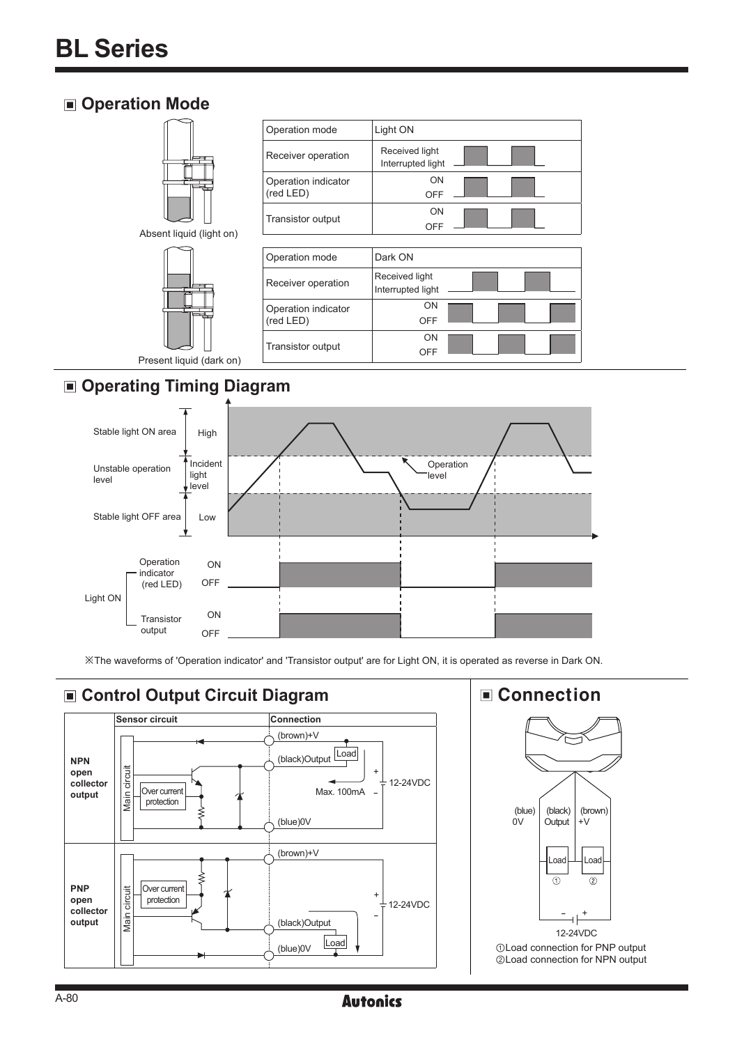# **Operation Mode**



**Operating Timing Diagram**



※The waveforms of 'Operation indicator' and 'Transistor output' are for Light ON, it is operated as reverse in Dark ON.



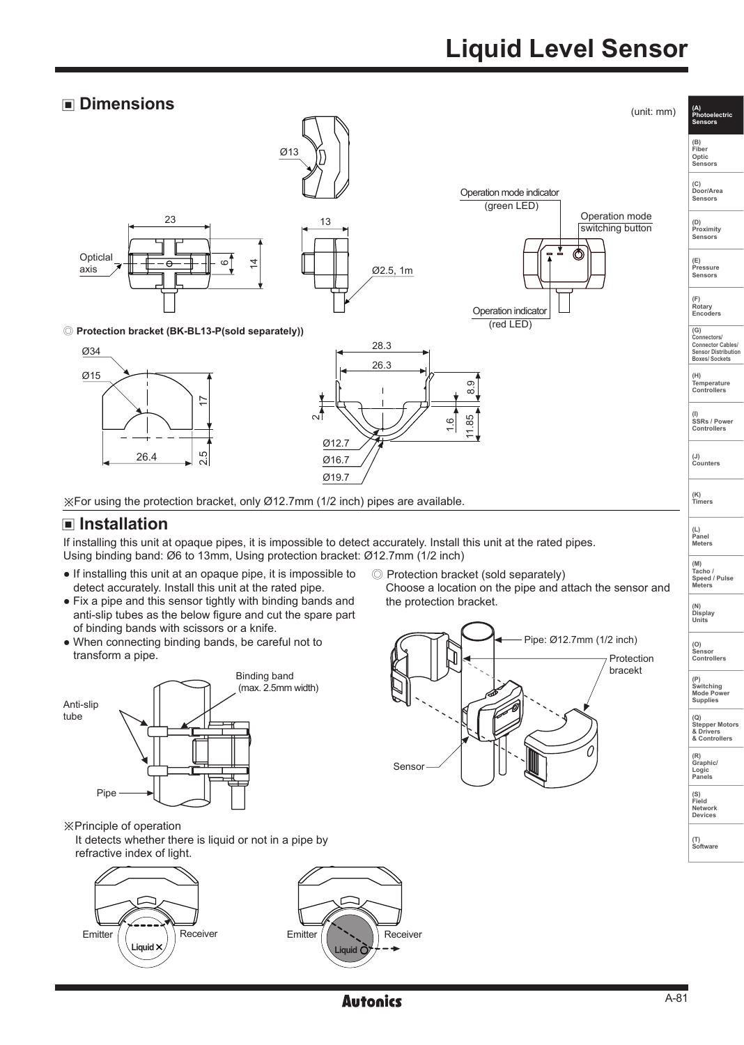# **Liquid Level Sensor**





※Principle of operation

It detects whether there is liquid or not in a pipe by refractive index of light.







**(P) Switching Mode Power Supplies** 

**(Q) Stepper Motors & Drivers & Controllers**

**(R) Graphic/ Logic Panels**

**(S) Field**

**Network Devices**

**(T) Software**